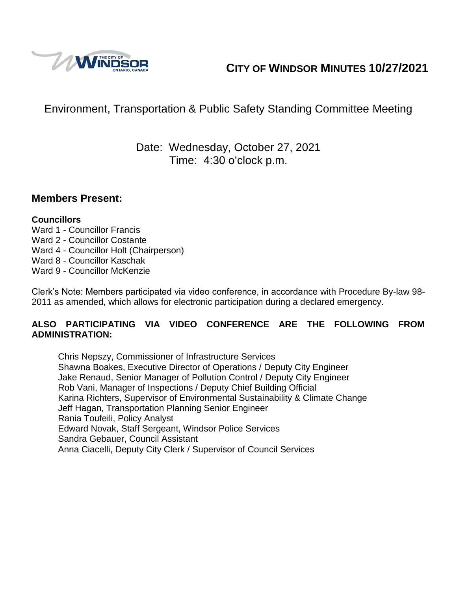

# **CITY OF WINDSOR MINUTES 10/27/2021**

# Environment, Transportation & Public Safety Standing Committee Meeting

## Date: Wednesday, October 27, 2021 Time: 4:30 o'clock p.m.

### **Members Present:**

#### **Councillors**

- Ward 1 Councillor Francis
- Ward 2 Councillor Costante
- Ward 4 Councillor Holt (Chairperson)
- Ward 8 Councillor Kaschak
- Ward 9 Councillor McKenzie

Clerk's Note: Members participated via video conference, in accordance with Procedure By-law 98- 2011 as amended, which allows for electronic participation during a declared emergency.

#### **ALSO PARTICIPATING VIA VIDEO CONFERENCE ARE THE FOLLOWING FROM ADMINISTRATION:**

Chris Nepszy, Commissioner of Infrastructure Services Shawna Boakes, Executive Director of Operations / Deputy City Engineer Jake Renaud, Senior Manager of Pollution Control / Deputy City Engineer Rob Vani, Manager of Inspections / Deputy Chief Building Official Karina Richters, Supervisor of Environmental Sustainability & Climate Change Jeff Hagan, Transportation Planning Senior Engineer Rania Toufeili, Policy Analyst Edward Novak, Staff Sergeant, Windsor Police Services Sandra Gebauer, Council Assistant Anna Ciacelli, Deputy City Clerk / Supervisor of Council Services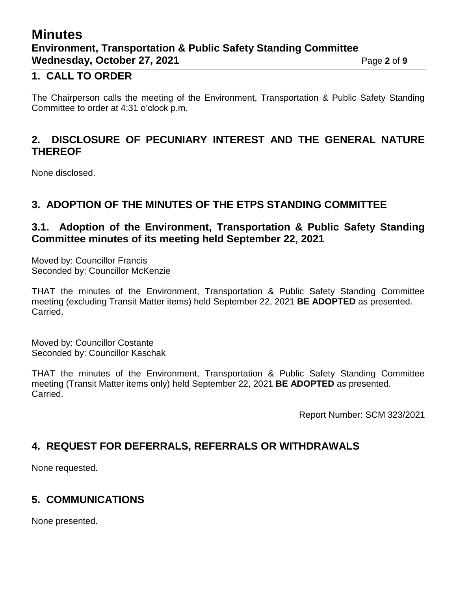# **Minutes Environment, Transportation & Public Safety Standing Committee Wednesday, October 27, 2021** Page 2 of 9

### **1. CALL TO ORDER**

The Chairperson calls the meeting of the Environment, Transportation & Public Safety Standing Committee to order at 4:31 o'clock p.m.

### **2. DISCLOSURE OF PECUNIARY INTEREST AND THE GENERAL NATURE THEREOF**

None disclosed.

## **3. ADOPTION OF THE MINUTES OF THE ETPS STANDING COMMITTEE**

### **3.1. Adoption of the Environment, Transportation & Public Safety Standing Committee minutes of its meeting held September 22, 2021**

Moved by: Councillor Francis Seconded by: Councillor McKenzie

THAT the minutes of the Environment, Transportation & Public Safety Standing Committee meeting (excluding Transit Matter items) held September 22, 2021 **BE ADOPTED** as presented. Carried.

Moved by: Councillor Costante Seconded by: Councillor Kaschak

THAT the minutes of the Environment, Transportation & Public Safety Standing Committee meeting (Transit Matter items only) held September 22, 2021 **BE ADOPTED** as presented. Carried.

Report Number: SCM 323/2021

## **4. REQUEST FOR DEFERRALS, REFERRALS OR WITHDRAWALS**

None requested.

## **5. COMMUNICATIONS**

None presented.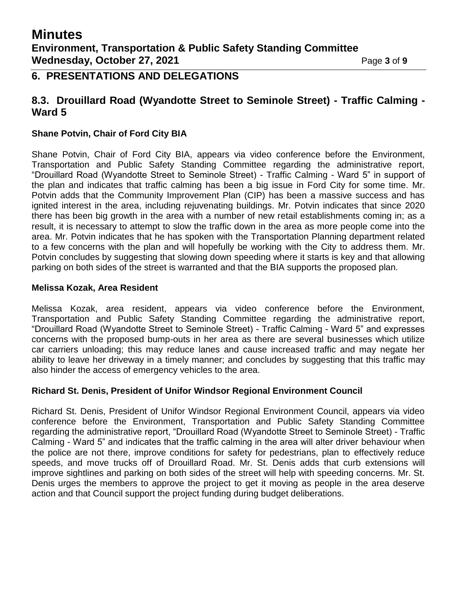## **6. PRESENTATIONS AND DELEGATIONS**

### **8.3. Drouillard Road (Wyandotte Street to Seminole Street) - Traffic Calming - Ward 5**

#### **Shane Potvin, Chair of Ford City BIA**

Shane Potvin, Chair of Ford City BIA, appears via video conference before the Environment, Transportation and Public Safety Standing Committee regarding the administrative report, "Drouillard Road (Wyandotte Street to Seminole Street) - Traffic Calming - Ward 5" in support of the plan and indicates that traffic calming has been a big issue in Ford City for some time. Mr. Potvin adds that the Community Improvement Plan (CIP) has been a massive success and has ignited interest in the area, including rejuvenating buildings. Mr. Potvin indicates that since 2020 there has been big growth in the area with a number of new retail establishments coming in; as a result, it is necessary to attempt to slow the traffic down in the area as more people come into the area. Mr. Potvin indicates that he has spoken with the Transportation Planning department related to a few concerns with the plan and will hopefully be working with the City to address them. Mr. Potvin concludes by suggesting that slowing down speeding where it starts is key and that allowing parking on both sides of the street is warranted and that the BIA supports the proposed plan.

#### **Melissa Kozak, Area Resident**

Melissa Kozak, area resident, appears via video conference before the Environment, Transportation and Public Safety Standing Committee regarding the administrative report, "Drouillard Road (Wyandotte Street to Seminole Street) - Traffic Calming - Ward 5" and expresses concerns with the proposed bump-outs in her area as there are several businesses which utilize car carriers unloading; this may reduce lanes and cause increased traffic and may negate her ability to leave her driveway in a timely manner; and concludes by suggesting that this traffic may also hinder the access of emergency vehicles to the area.

#### **Richard St. Denis, President of Unifor Windsor Regional Environment Council**

Richard St. Denis, President of Unifor Windsor Regional Environment Council, appears via video conference before the Environment, Transportation and Public Safety Standing Committee regarding the administrative report, "Drouillard Road (Wyandotte Street to Seminole Street) - Traffic Calming - Ward 5" and indicates that the traffic calming in the area will alter driver behaviour when the police are not there, improve conditions for safety for pedestrians, plan to effectively reduce speeds, and move trucks off of Drouillard Road. Mr. St. Denis adds that curb extensions will improve sightlines and parking on both sides of the street will help with speeding concerns. Mr. St. Denis urges the members to approve the project to get it moving as people in the area deserve action and that Council support the project funding during budget deliberations.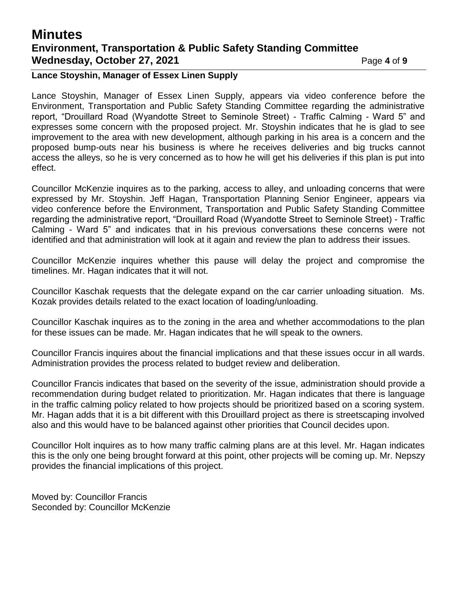## **Minutes Environment, Transportation & Public Safety Standing Committee Wednesday, October 27, 2021** Page 4 of 9

#### **Lance Stoyshin, Manager of Essex Linen Supply**

Lance Stoyshin, Manager of Essex Linen Supply, appears via video conference before the Environment, Transportation and Public Safety Standing Committee regarding the administrative report, "Drouillard Road (Wyandotte Street to Seminole Street) - Traffic Calming - Ward 5" and expresses some concern with the proposed project. Mr. Stoyshin indicates that he is glad to see improvement to the area with new development, although parking in his area is a concern and the proposed bump-outs near his business is where he receives deliveries and big trucks cannot access the alleys, so he is very concerned as to how he will get his deliveries if this plan is put into effect.

Councillor McKenzie inquires as to the parking, access to alley, and unloading concerns that were expressed by Mr. Stoyshin. Jeff Hagan, Transportation Planning Senior Engineer, appears via video conference before the Environment, Transportation and Public Safety Standing Committee regarding the administrative report, "Drouillard Road (Wyandotte Street to Seminole Street) - Traffic Calming - Ward 5" and indicates that in his previous conversations these concerns were not identified and that administration will look at it again and review the plan to address their issues.

Councillor McKenzie inquires whether this pause will delay the project and compromise the timelines. Mr. Hagan indicates that it will not.

Councillor Kaschak requests that the delegate expand on the car carrier unloading situation. Ms. Kozak provides details related to the exact location of loading/unloading.

Councillor Kaschak inquires as to the zoning in the area and whether accommodations to the plan for these issues can be made. Mr. Hagan indicates that he will speak to the owners.

Councillor Francis inquires about the financial implications and that these issues occur in all wards. Administration provides the process related to budget review and deliberation.

Councillor Francis indicates that based on the severity of the issue, administration should provide a recommendation during budget related to prioritization. Mr. Hagan indicates that there is language in the traffic calming policy related to how projects should be prioritized based on a scoring system. Mr. Hagan adds that it is a bit different with this Drouillard project as there is streetscaping involved also and this would have to be balanced against other priorities that Council decides upon.

Councillor Holt inquires as to how many traffic calming plans are at this level. Mr. Hagan indicates this is the only one being brought forward at this point, other projects will be coming up. Mr. Nepszy provides the financial implications of this project.

Moved by: Councillor Francis Seconded by: Councillor McKenzie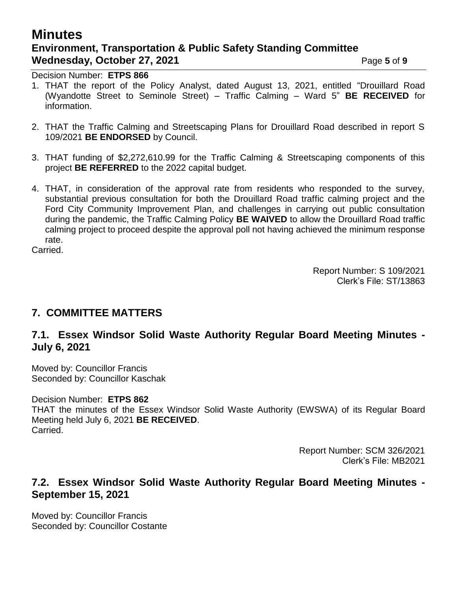# **Minutes Environment, Transportation & Public Safety Standing Committee Wednesday, October 27, 2021** Page 5 of 9

Decision Number: **ETPS 866**

- 1. THAT the report of the Policy Analyst, dated August 13, 2021, entitled "Drouillard Road (Wyandotte Street to Seminole Street) – Traffic Calming – Ward 5" **BE RECEIVED** for information.
- 2. THAT the Traffic Calming and Streetscaping Plans for Drouillard Road described in report S 109/2021 **BE ENDORSED** by Council.
- 3. THAT funding of \$2,272,610.99 for the Traffic Calming & Streetscaping components of this project **BE REFERRED** to the 2022 capital budget.
- 4. THAT, in consideration of the approval rate from residents who responded to the survey, substantial previous consultation for both the Drouillard Road traffic calming project and the Ford City Community Improvement Plan, and challenges in carrying out public consultation during the pandemic, the Traffic Calming Policy **BE WAIVED** to allow the Drouillard Road traffic calming project to proceed despite the approval poll not having achieved the minimum response rate.

Carried.

Report Number: S 109/2021 Clerk's File: ST/13863

### **7. COMMITTEE MATTERS**

### **7.1. Essex Windsor Solid Waste Authority Regular Board Meeting Minutes - July 6, 2021**

Moved by: Councillor Francis Seconded by: Councillor Kaschak

#### Decision Number: **ETPS 862**

THAT the minutes of the Essex Windsor Solid Waste Authority (EWSWA) of its Regular Board Meeting held July 6, 2021 **BE RECEIVED**. Carried.

> Report Number: SCM 326/2021 Clerk's File: MB2021

### **7.2. Essex Windsor Solid Waste Authority Regular Board Meeting Minutes - September 15, 2021**

Moved by: Councillor Francis Seconded by: Councillor Costante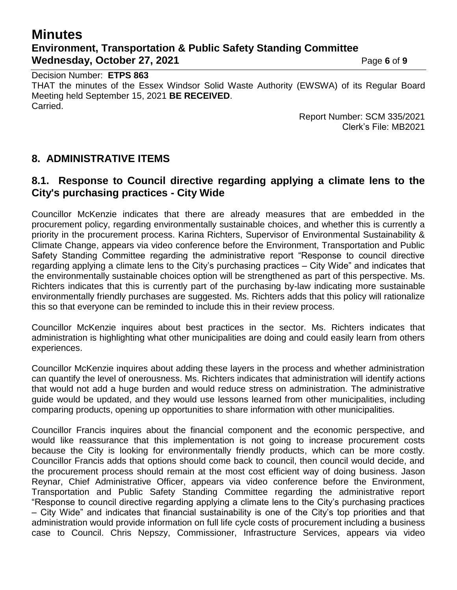# **Minutes Environment, Transportation & Public Safety Standing Committee Wednesday, October 27, 2021 Page 6** of 9

Decision Number: **ETPS 863** THAT the minutes of the Essex Windsor Solid Waste Authority (EWSWA) of its Regular Board Meeting held September 15, 2021 **BE RECEIVED**. Carried.

Report Number: SCM 335/2021 Clerk's File: MB2021

## **8. ADMINISTRATIVE ITEMS**

### **8.1. Response to Council directive regarding applying a climate lens to the City's purchasing practices - City Wide**

Councillor McKenzie indicates that there are already measures that are embedded in the procurement policy, regarding environmentally sustainable choices, and whether this is currently a priority in the procurement process. Karina Richters, Supervisor of Environmental Sustainability & Climate Change, appears via video conference before the Environment, Transportation and Public Safety Standing Committee regarding the administrative report "Response to council directive regarding applying a climate lens to the City's purchasing practices – City Wide" and indicates that the environmentally sustainable choices option will be strengthened as part of this perspective. Ms. Richters indicates that this is currently part of the purchasing by-law indicating more sustainable environmentally friendly purchases are suggested. Ms. Richters adds that this policy will rationalize this so that everyone can be reminded to include this in their review process.

Councillor McKenzie inquires about best practices in the sector. Ms. Richters indicates that administration is highlighting what other municipalities are doing and could easily learn from others experiences.

Councillor McKenzie inquires about adding these layers in the process and whether administration can quantify the level of onerousness. Ms. Richters indicates that administration will identify actions that would not add a huge burden and would reduce stress on administration. The administrative guide would be updated, and they would use lessons learned from other municipalities, including comparing products, opening up opportunities to share information with other municipalities.

Councillor Francis inquires about the financial component and the economic perspective, and would like reassurance that this implementation is not going to increase procurement costs because the City is looking for environmentally friendly products, which can be more costly. Councillor Francis adds that options should come back to council, then council would decide, and the procurement process should remain at the most cost efficient way of doing business. Jason Reynar, Chief Administrative Officer, appears via video conference before the Environment, Transportation and Public Safety Standing Committee regarding the administrative report "Response to council directive regarding applying a climate lens to the City's purchasing practices – City Wide" and indicates that financial sustainability is one of the City's top priorities and that administration would provide information on full life cycle costs of procurement including a business case to Council. Chris Nepszy, Commissioner, Infrastructure Services, appears via video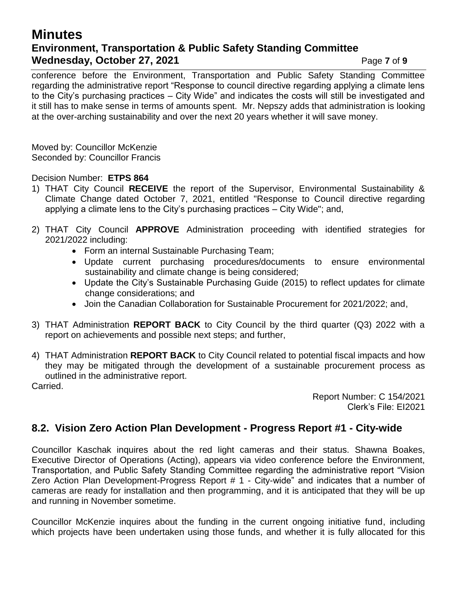## **Minutes Environment, Transportation & Public Safety Standing Committee Wednesday, October 27, 2021** Page 7 of 9

conference before the Environment, Transportation and Public Safety Standing Committee regarding the administrative report "Response to council directive regarding applying a climate lens to the City's purchasing practices – City Wide" and indicates the costs will still be investigated and it still has to make sense in terms of amounts spent. Mr. Nepszy adds that administration is looking at the over-arching sustainability and over the next 20 years whether it will save money.

Moved by: Councillor McKenzie Seconded by: Councillor Francis

Decision Number: **ETPS 864**

- 1) THAT City Council **RECEIVE** the report of the Supervisor, Environmental Sustainability & Climate Change dated October 7, 2021, entitled "Response to Council directive regarding applying a climate lens to the City's purchasing practices – City Wide"; and,
- 2) THAT City Council **APPROVE** Administration proceeding with identified strategies for 2021/2022 including:
	- Form an internal Sustainable Purchasing Team;
	- Update current purchasing procedures/documents to ensure environmental sustainability and climate change is being considered;
	- Update the City's Sustainable Purchasing Guide (2015) to reflect updates for climate change considerations; and
	- Join the Canadian Collaboration for Sustainable Procurement for 2021/2022; and,
- 3) THAT Administration **REPORT BACK** to City Council by the third quarter (Q3) 2022 with a report on achievements and possible next steps; and further,
- 4) THAT Administration **REPORT BACK** to City Council related to potential fiscal impacts and how they may be mitigated through the development of a sustainable procurement process as outlined in the administrative report.

Carried.

Report Number: C 154/2021 Clerk's File: EI2021

### **8.2. Vision Zero Action Plan Development - Progress Report #1 - City-wide**

Councillor Kaschak inquires about the red light cameras and their status. Shawna Boakes, Executive Director of Operations (Acting), appears via video conference before the Environment, Transportation, and Public Safety Standing Committee regarding the administrative report "Vision Zero Action Plan Development-Progress Report # 1 - City-wide" and indicates that a number of cameras are ready for installation and then programming, and it is anticipated that they will be up and running in November sometime.

Councillor McKenzie inquires about the funding in the current ongoing initiative fund, including which projects have been undertaken using those funds, and whether it is fully allocated for this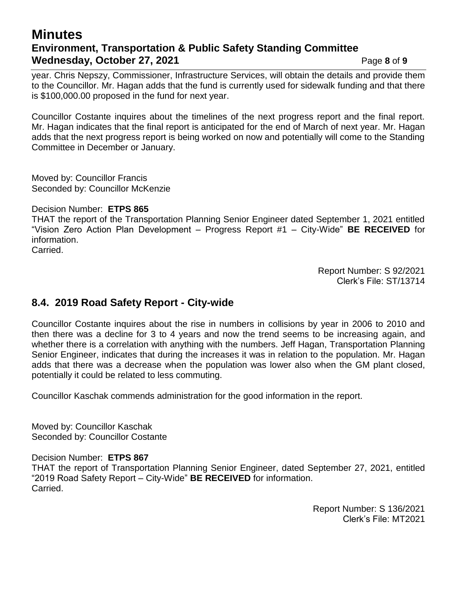## **Minutes Environment, Transportation & Public Safety Standing Committee Wednesday, October 27, 2021 Page 8** of 9

year. Chris Nepszy, Commissioner, Infrastructure Services, will obtain the details and provide them to the Councillor. Mr. Hagan adds that the fund is currently used for sidewalk funding and that there is \$100,000.00 proposed in the fund for next year.

Councillor Costante inquires about the timelines of the next progress report and the final report. Mr. Hagan indicates that the final report is anticipated for the end of March of next year. Mr. Hagan adds that the next progress report is being worked on now and potentially will come to the Standing Committee in December or January.

Moved by: Councillor Francis Seconded by: Councillor McKenzie

Decision Number: **ETPS 865**

THAT the report of the Transportation Planning Senior Engineer dated September 1, 2021 entitled "Vision Zero Action Plan Development – Progress Report #1 – City-Wide" **BE RECEIVED** for information.

Carried.

Report Number: S 92/2021 Clerk's File: ST/13714

## **8.4. 2019 Road Safety Report - City-wide**

Councillor Costante inquires about the rise in numbers in collisions by year in 2006 to 2010 and then there was a decline for 3 to 4 years and now the trend seems to be increasing again, and whether there is a correlation with anything with the numbers. Jeff Hagan, Transportation Planning Senior Engineer, indicates that during the increases it was in relation to the population. Mr. Hagan adds that there was a decrease when the population was lower also when the GM plant closed, potentially it could be related to less commuting.

Councillor Kaschak commends administration for the good information in the report.

Moved by: Councillor Kaschak Seconded by: Councillor Costante

Decision Number: **ETPS 867**

THAT the report of Transportation Planning Senior Engineer, dated September 27, 2021, entitled "2019 Road Safety Report – City-Wide" **BE RECEIVED** for information. Carried.

> Report Number: S 136/2021 Clerk's File: MT2021